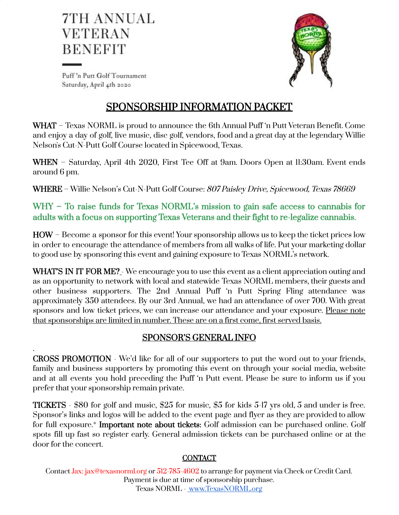



Puff'n Putt Golf Tournament Saturday, April 4th 2020

.

# SPONSORSHIP INFORMATION PACKET

WHAT – Texas NORML is proud to announce the 6th Annual Puff 'n Putt Veteran Benefit. Come and enjoy a day of golf, live music, disc golf, vendors, food and a great day at the legendary Willie Nelson's Cut-N-Putt Golf Course located in Spicewood, Texas.

WHEN - Saturday, April 4th 2020, First Tee Off at 9am. Doors Open at II:30am. Event ends around 6 pm.

WHERE – Willie Nelson's Cut-N-Putt Golf Course: 807 Paisley Drive, Spicewood, Texas 78669

WHY – To raise funds for Texas NORML's mission to gain safe access to cannabis for adults with a focus on supporting Texas Veterans and their fight to re-legalize cannabis.

HOW – Become a sponsor for this event! Your sponsorship allows us to keep the ticket prices low in order to encourage the attendance of members from all walks of life. Put your marketing dollar to good use by sponsoring this event and gaining exposure to Texas NORML's network.

WHAT'S IN IT FOR ME? - We encourage you to use this event as a client appreciation outing and as an opportunity to network with local and statewide Texas NORML members, their guests and other business supporters. The 2nd Annual Puff 'n Putt Spring Fling attendance was approximately 350 attendees. By our 3rd Annual, we had an attendance of over 700. With great sponsors and low ticket prices, we can increase our attendance and your exposure. Please note that sponsorships are limited in number. These are on a first come, first served basis.

# SPONSOR'S GENERAL INFO

CROSS PROMOTION - We'd like for all of our supporters to put the word out to your friends, family and business supporters by promoting this event on through your social media, website and at all events you hold preceding the Puff 'n Putt event. Please be sure to inform us if you prefer that your sponsorship remain private.

TICKETS - \$80 for golf and music, \$25 for music, \$5 for kids 5-17 yrs old, 5 and under is free. Sponsor's links and logos will be added to the event page and flyer as they are provided to allow for full exposure.\* Important note about tickets: Golf admission can be purchased online. Golf spots fill up fast so register early. General admission tickets can be purchased online or at the door for the concert.

# **CONTACT**

Contact Jax: jax@texasnorml.org or 512-785-4602 to arrange for payment via Check or Credit Card. Payment is due at time of sponsorship purchase. Texas NORML - [www.TexasNORML.org](http://www.texasnorml.org/)